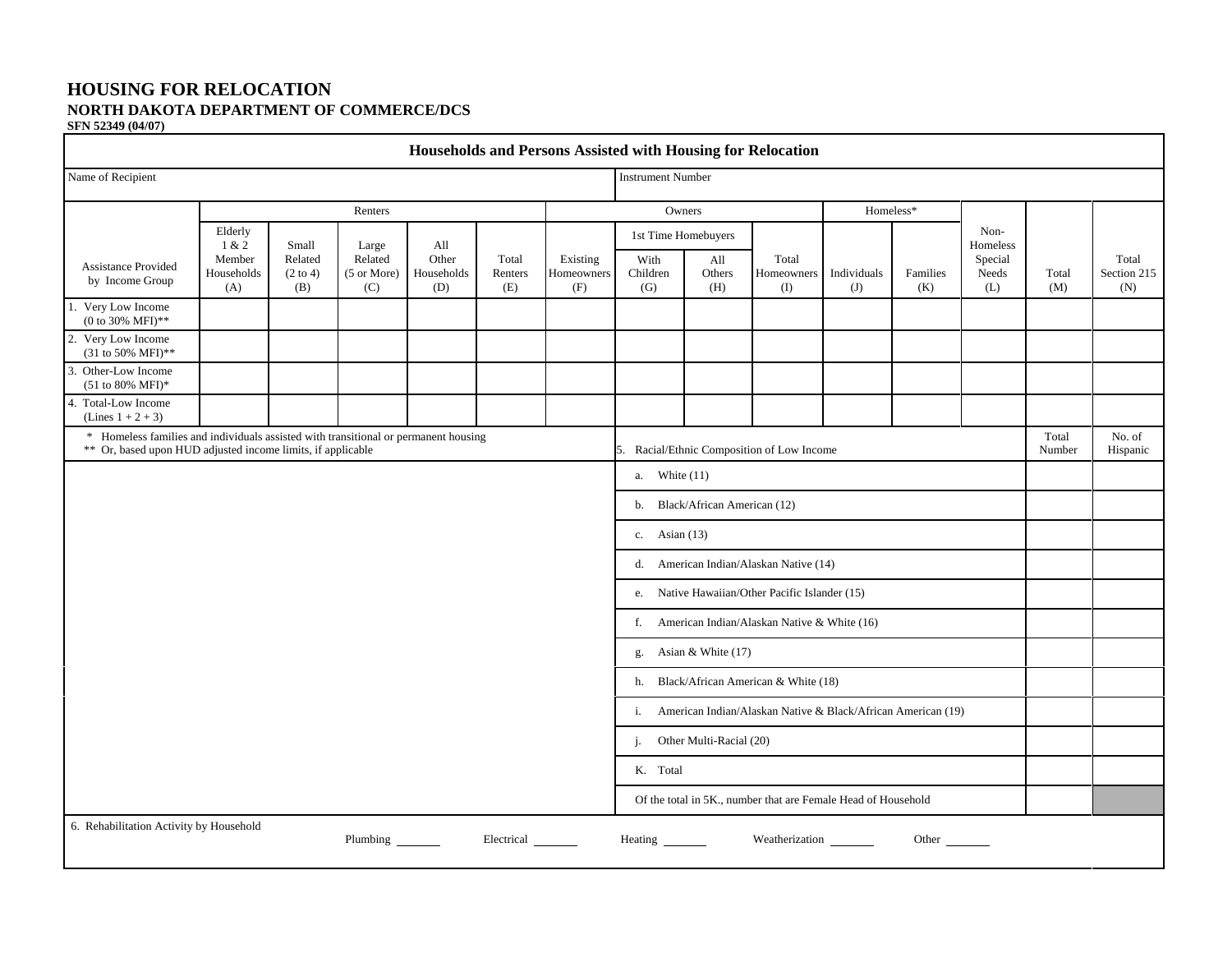#### **HOUSING FOR RELOCATION NORTH DAKOTA DEPARTMENT OF COMMERCE/DCS SFN 52349 (04/07)**

| Households and Persons Assisted with Housing for Relocation                                                                                        |                             |                                       |                                        |                                   |                         |                               |                          |                         |                                                               |                    |                 |                         |                 |                             |
|----------------------------------------------------------------------------------------------------------------------------------------------------|-----------------------------|---------------------------------------|----------------------------------------|-----------------------------------|-------------------------|-------------------------------|--------------------------|-------------------------|---------------------------------------------------------------|--------------------|-----------------|-------------------------|-----------------|-----------------------------|
| Name of Recipient                                                                                                                                  |                             |                                       |                                        |                                   |                         |                               | <b>Instrument Number</b> |                         |                                                               |                    |                 |                         |                 |                             |
| Renters                                                                                                                                            |                             |                                       |                                        |                                   |                         |                               | Owners                   |                         |                                                               | Homeless*          |                 |                         |                 |                             |
| <b>Assistance Provided</b><br>by Income Group                                                                                                      | Elderly<br>1 & 2            | Small                                 | Large<br>Related<br>(5 or More)<br>(C) | All<br>Other<br>Households<br>(D) | Total<br>Renters<br>(E) | Existing<br>Homeowners<br>(F) | 1st Time Homebuyers      |                         |                                                               |                    |                 | Non-<br>Homeless        |                 |                             |
|                                                                                                                                                    | Member<br>Households<br>(A) | Related<br>$(2 \text{ to } 4)$<br>(B) |                                        |                                   |                         |                               | With<br>Children<br>(G)  | All<br>Others<br>(H)    | Total<br>Homeowners<br>$($ I                                  | Individuals<br>(J) | Families<br>(K) | Special<br>Needs<br>(L) | Total<br>(M)    | Total<br>Section 215<br>(N) |
| 1. Very Low Income<br>(0 to 30% MFI)**                                                                                                             |                             |                                       |                                        |                                   |                         |                               |                          |                         |                                                               |                    |                 |                         |                 |                             |
| 2. Very Low Income<br>(31 to 50% MFI)**                                                                                                            |                             |                                       |                                        |                                   |                         |                               |                          |                         |                                                               |                    |                 |                         |                 |                             |
| 3. Other-Low Income<br>$(51 to 80\% \text{ MFI})*$                                                                                                 |                             |                                       |                                        |                                   |                         |                               |                          |                         |                                                               |                    |                 |                         |                 |                             |
| 4. Total-Low Income<br>(Lines $1 + 2 + 3$ )                                                                                                        |                             |                                       |                                        |                                   |                         |                               |                          |                         |                                                               |                    |                 |                         |                 |                             |
| * Homeless families and individuals assisted with transitional or permanent housing<br>** Or, based upon HUD adjusted income limits, if applicable |                             |                                       |                                        |                                   |                         |                               |                          |                         | 5. Racial/Ethnic Composition of Low Income                    |                    |                 |                         | Total<br>Number | No. of<br>Hispanic          |
| a. White $(11)$                                                                                                                                    |                             |                                       |                                        |                                   |                         |                               |                          |                         |                                                               |                    |                 |                         |                 |                             |
| Black/African American (12)<br>b.                                                                                                                  |                             |                                       |                                        |                                   |                         |                               |                          |                         |                                                               |                    |                 |                         |                 |                             |
|                                                                                                                                                    |                             |                                       |                                        |                                   |                         |                               |                          | c. Asian $(13)$         |                                                               |                    |                 |                         |                 |                             |
| d. American Indian/Alaskan Native (14)                                                                                                             |                             |                                       |                                        |                                   |                         |                               |                          |                         |                                                               |                    |                 |                         |                 |                             |
| e. Native Hawaiian/Other Pacific Islander (15)                                                                                                     |                             |                                       |                                        |                                   |                         |                               |                          |                         |                                                               |                    |                 |                         |                 |                             |
| f. American Indian/Alaskan Native & White (16)                                                                                                     |                             |                                       |                                        |                                   |                         |                               |                          |                         |                                                               |                    |                 |                         |                 |                             |
| g. Asian & White (17)                                                                                                                              |                             |                                       |                                        |                                   |                         |                               |                          |                         |                                                               |                    |                 |                         |                 |                             |
| h. Black/African American & White (18)                                                                                                             |                             |                                       |                                        |                                   |                         |                               |                          |                         |                                                               |                    |                 |                         |                 |                             |
| American Indian/Alaskan Native & Black/African American (19)<br>i.                                                                                 |                             |                                       |                                        |                                   |                         |                               |                          |                         |                                                               |                    |                 |                         |                 |                             |
|                                                                                                                                                    |                             |                                       |                                        |                                   |                         |                               | j.                       | Other Multi-Racial (20) |                                                               |                    |                 |                         |                 |                             |
|                                                                                                                                                    |                             |                                       |                                        |                                   |                         |                               | K. Total                 |                         |                                                               |                    |                 |                         |                 |                             |
|                                                                                                                                                    |                             |                                       |                                        |                                   |                         |                               |                          |                         | Of the total in 5K., number that are Female Head of Household |                    |                 |                         |                 |                             |
| 6. Rehabilitation Activity by Household                                                                                                            |                             |                                       | Plumbing                               |                                   | Electrical              |                               |                          |                         | Weatherization                                                |                    | Other           |                         |                 |                             |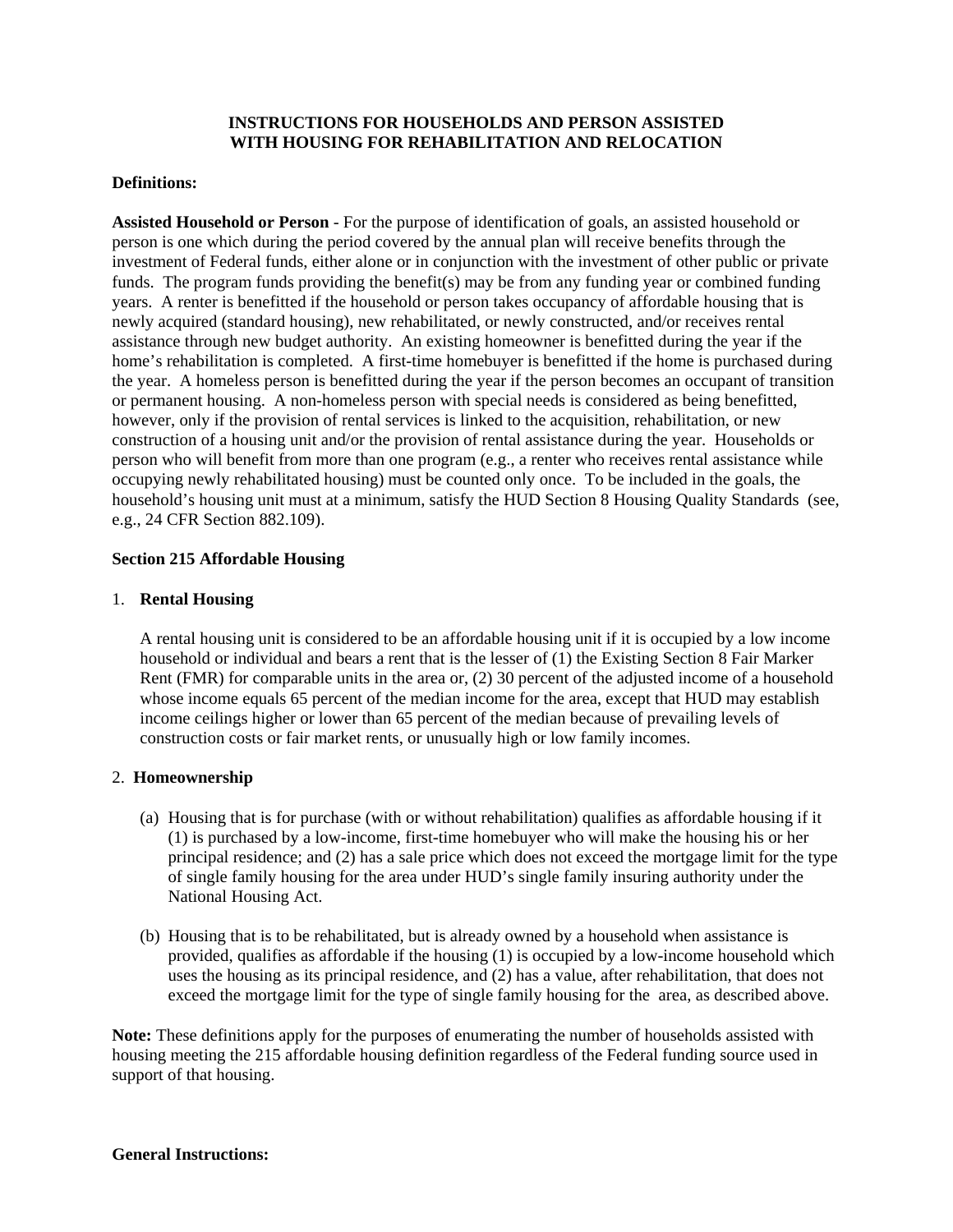# **INSTRUCTIONS FOR HOUSEHOLDS AND PERSON ASSISTED WITH HOUSING FOR REHABILITATION AND RELOCATION**

# **Definitions:**

**Assisted Household or Person** - For the purpose of identification of goals, an assisted household or person is one which during the period covered by the annual plan will receive benefits through the investment of Federal funds, either alone or in conjunction with the investment of other public or private funds. The program funds providing the benefit(s) may be from any funding year or combined funding years. A renter is benefitted if the household or person takes occupancy of affordable housing that is newly acquired (standard housing), new rehabilitated, or newly constructed, and/or receives rental assistance through new budget authority. An existing homeowner is benefitted during the year if the home's rehabilitation is completed. A first-time homebuyer is benefitted if the home is purchased during the year. A homeless person is benefitted during the year if the person becomes an occupant of transition or permanent housing. A non-homeless person with special needs is considered as being benefitted, however, only if the provision of rental services is linked to the acquisition, rehabilitation, or new construction of a housing unit and/or the provision of rental assistance during the year. Households or person who will benefit from more than one program (e.g., a renter who receives rental assistance while occupying newly rehabilitated housing) must be counted only once. To be included in the goals, the household's housing unit must at a minimum, satisfy the HUD Section 8 Housing Quality Standards (see, e.g., 24 CFR Section 882.109).

# **Section 215 Affordable Housing**

# 1. **Rental Housing**

A rental housing unit is considered to be an affordable housing unit if it is occupied by a low income household or individual and bears a rent that is the lesser of (1) the Existing Section 8 Fair Marker Rent (FMR) for comparable units in the area or, (2) 30 percent of the adjusted income of a household whose income equals 65 percent of the median income for the area, except that HUD may establish income ceilings higher or lower than 65 percent of the median because of prevailing levels of construction costs or fair market rents, or unusually high or low family incomes.

# 2. **Homeownership**

- (a) Housing that is for purchase (with or without rehabilitation) qualifies as affordable housing if it (1) is purchased by a low-income, first-time homebuyer who will make the housing his or her principal residence; and (2) has a sale price which does not exceed the mortgage limit for the type of single family housing for the area under HUD's single family insuring authority under the National Housing Act.
- (b) Housing that is to be rehabilitated, but is already owned by a household when assistance is provided, qualifies as affordable if the housing (1) is occupied by a low-income household which uses the housing as its principal residence, and (2) has a value, after rehabilitation, that does not exceed the mortgage limit for the type of single family housing for the area, as described above.

**Note:** These definitions apply for the purposes of enumerating the number of households assisted with housing meeting the 215 affordable housing definition regardless of the Federal funding source used in support of that housing.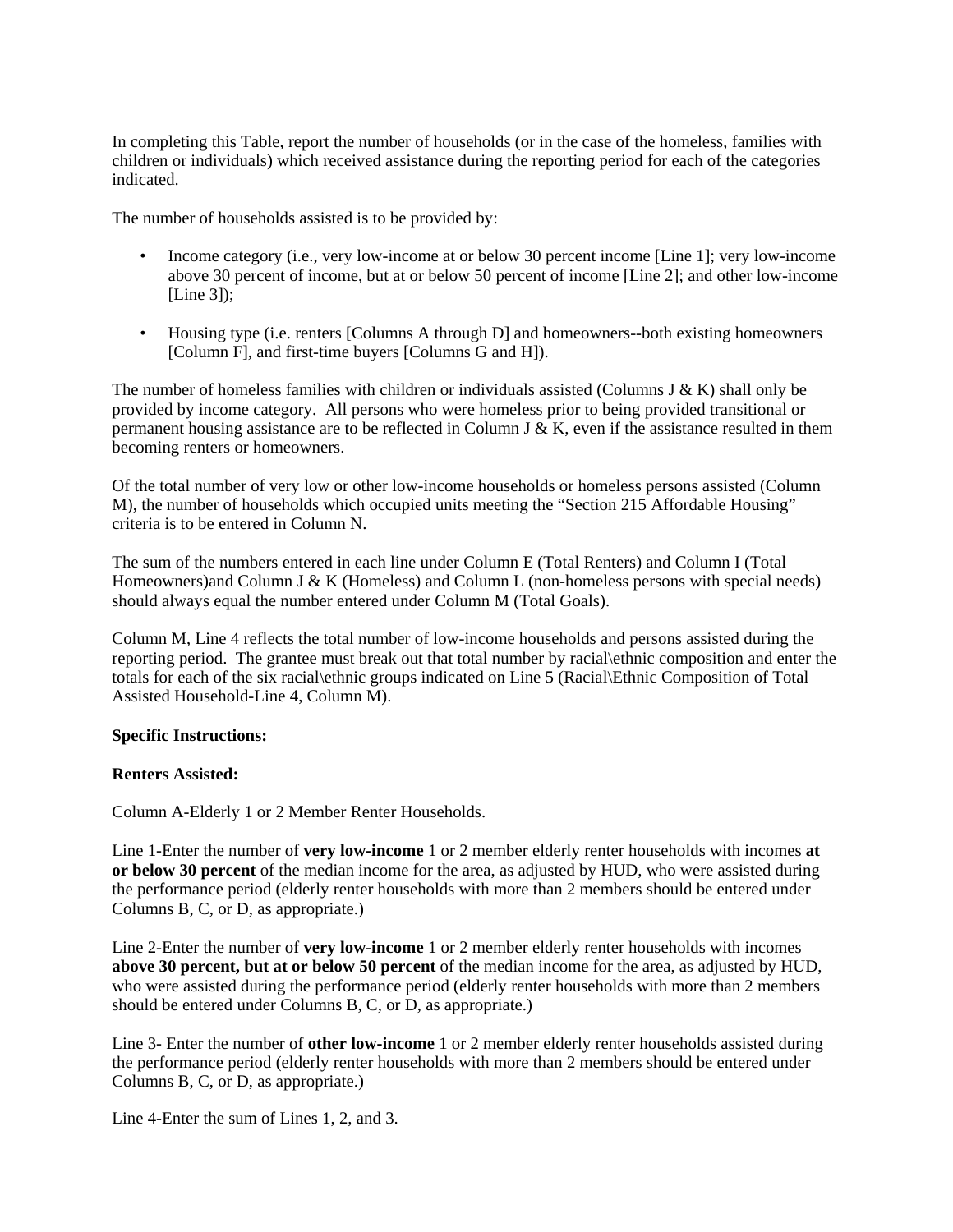In completing this Table, report the number of households (or in the case of the homeless, families with children or individuals) which received assistance during the reporting period for each of the categories indicated.

The number of households assisted is to be provided by:

- Income category (i.e., very low-income at or below 30 percent income [Line 1]; very low-income above 30 percent of income, but at or below 50 percent of income [Line 2]; and other low-income  $[Line 3]$ :
- Housing type (i.e. renters [Columns A through D] and homeowners--both existing homeowners [Column F], and first-time buyers [Columns G and H]).

The number of homeless families with children or individuals assisted (Columns J & K) shall only be provided by income category. All persons who were homeless prior to being provided transitional or permanent housing assistance are to be reflected in Column J & K, even if the assistance resulted in them becoming renters or homeowners.

Of the total number of very low or other low-income households or homeless persons assisted (Column M), the number of households which occupied units meeting the "Section 215 Affordable Housing" criteria is to be entered in Column N.

The sum of the numbers entered in each line under Column E (Total Renters) and Column I (Total Homeowners) and Column J & K (Homeless) and Column L (non-homeless persons with special needs) should always equal the number entered under Column M (Total Goals).

Column M, Line 4 reflects the total number of low-income households and persons assisted during the reporting period. The grantee must break out that total number by racial\ethnic composition and enter the totals for each of the six racial\ethnic groups indicated on Line 5 (Racial\Ethnic Composition of Total Assisted Household-Line 4, Column M).

#### **Specific Instructions:**

# **Renters Assisted:**

Column A-Elderly 1 or 2 Member Renter Households.

Line 1-Enter the number of **very low-income** 1 or 2 member elderly renter households with incomes **at or below 30 percent** of the median income for the area, as adjusted by HUD, who were assisted during the performance period (elderly renter households with more than 2 members should be entered under Columns B, C, or D, as appropriate.)

Line 2-Enter the number of **very low-income** 1 or 2 member elderly renter households with incomes **above 30 percent, but at or below 50 percent** of the median income for the area, as adjusted by HUD, who were assisted during the performance period (elderly renter households with more than 2 members should be entered under Columns B, C, or D, as appropriate.)

Line 3- Enter the number of **other low-income** 1 or 2 member elderly renter households assisted during the performance period (elderly renter households with more than 2 members should be entered under Columns B, C, or D, as appropriate.)

Line 4-Enter the sum of Lines 1, 2, and 3.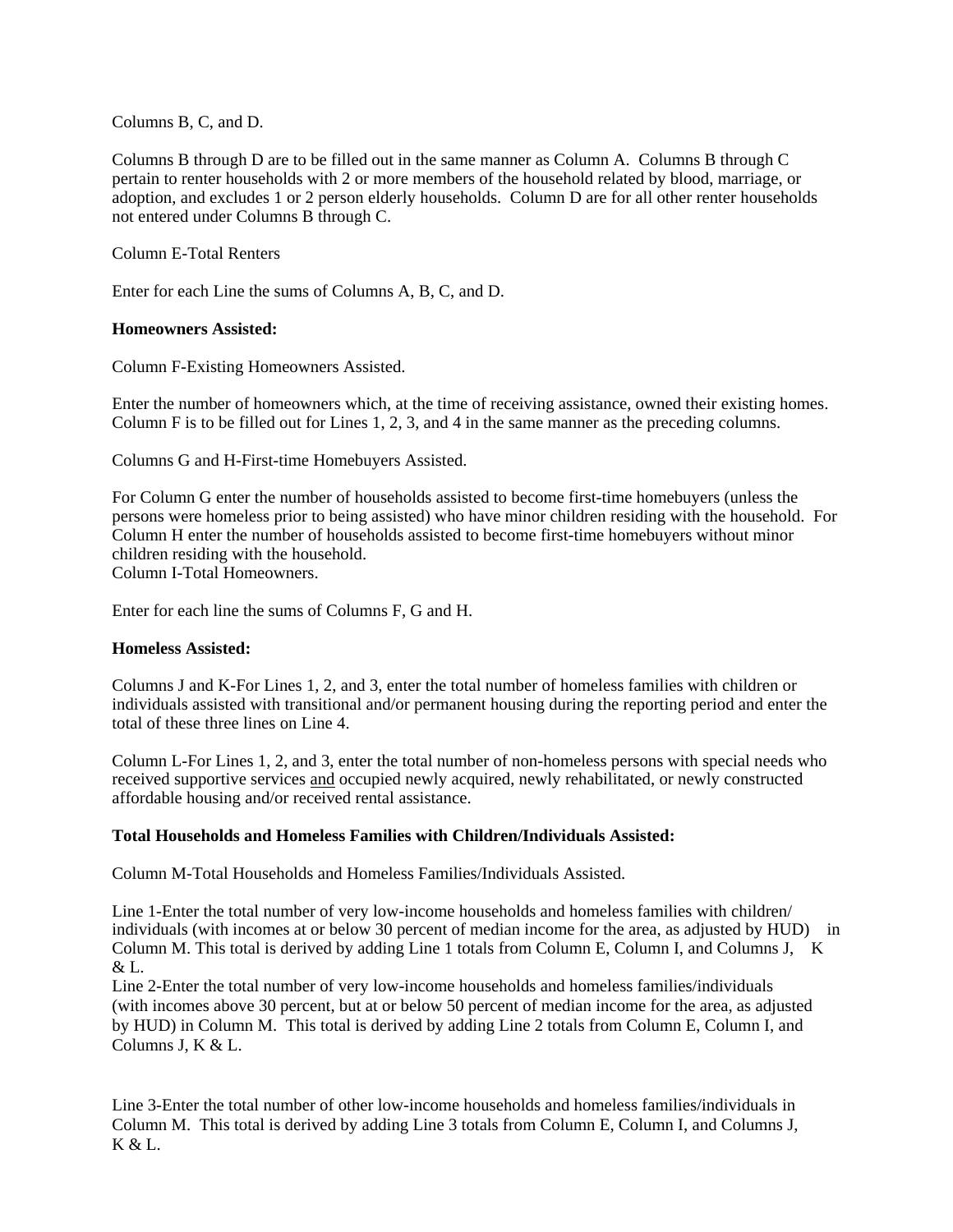Columns B, C, and D.

Columns B through D are to be filled out in the same manner as Column A. Columns B through C pertain to renter households with 2 or more members of the household related by blood, marriage, or adoption, and excludes 1 or 2 person elderly households. Column D are for all other renter households not entered under Columns B through C.

Column E-Total Renters

Enter for each Line the sums of Columns A, B, C, and D.

### **Homeowners Assisted:**

Column F-Existing Homeowners Assisted.

Enter the number of homeowners which, at the time of receiving assistance, owned their existing homes. Column F is to be filled out for Lines 1, 2, 3, and 4 in the same manner as the preceding columns.

Columns G and H-First-time Homebuyers Assisted.

For Column G enter the number of households assisted to become first-time homebuyers (unless the persons were homeless prior to being assisted) who have minor children residing with the household. For Column H enter the number of households assisted to become first-time homebuyers without minor children residing with the household.

Column I-Total Homeowners.

Enter for each line the sums of Columns F, G and H.

#### **Homeless Assisted:**

Columns J and K-For Lines 1, 2, and 3, enter the total number of homeless families with children or individuals assisted with transitional and/or permanent housing during the reporting period and enter the total of these three lines on Line 4.

Column L-For Lines 1, 2, and 3, enter the total number of non-homeless persons with special needs who received supportive services and occupied newly acquired, newly rehabilitated, or newly constructed affordable housing and/or received rental assistance.

#### **Total Households and Homeless Families with Children/Individuals Assisted:**

Column M-Total Households and Homeless Families/Individuals Assisted.

Line 1-Enter the total number of very low-income households and homeless families with children/ individuals (with incomes at or below 30 percent of median income for the area, as adjusted by HUD) in Column M. This total is derived by adding Line 1 totals from Column E, Column I, and Columns J, K & L.

Line 2-Enter the total number of very low-income households and homeless families/individuals (with incomes above 30 percent, but at or below 50 percent of median income for the area, as adjusted by HUD) in Column M. This total is derived by adding Line 2 totals from Column E, Column I, and Columns J, K & L.

Line 3-Enter the total number of other low-income households and homeless families/individuals in Column M. This total is derived by adding Line 3 totals from Column E, Column I, and Columns J, K & L.